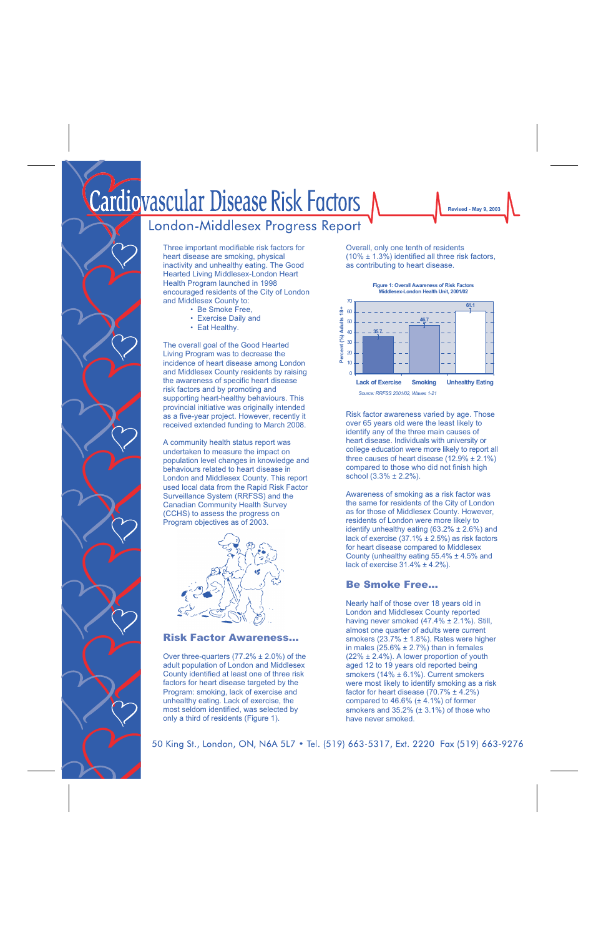# Cardiovascular Disease Risk Factors

# London-Middlesex Progress Report

Three important modifiable risk factors for heart disease are smoking, physical inactivity and unhealthy eating. The Good Hearted Living Middlesex-London Heart Health Program launched in 1998 encouraged residents of the City of London and Middlesex County to:

- Be Smoke Free,
- Exercise Daily and
- Eat Healthy.

The overall goal of the Good Hearted Living Program was to decrease the incidence of heart disease among London and Middlesex County residents by raising the awareness of specific heart disease risk factors and by promoting and supporting heart-healthy behaviours. This provincial initiative was originally intended as a five-year project. However, recently it received extended funding to March 2008.

A community health status report was undertaken to measure the impact on population level changes in knowledge and behaviours related to heart disease in London and Middlesex County. This report used local data from the Rapid Risk Factor Surveillance System (RRFSS) and the Canadian Community Health Survey (CCHS) to assess the progress on Program objectives as of 2003.



#### Risk Factor Awareness…

Over three-quarters (77.2% ± 2.0%) of the adult population of London and Middlesex County identified at least one of three risk factors for heart disease targeted by the Program: smoking, lack of exercise and unhealthy eating. Lack of exercise, the most seldom identified, was selected by only a third of residents (Figure 1).

Overall, only one tenth of residents (10% ± 1.3%) identified all three risk factors, as contributing to heart disease.



Risk factor awareness varied by age. Those over 65 years old were the least likely to identify any of the three main causes of heart disease. Individuals with university or college education were more likely to report all three causes of heart disease  $(12.9\% \pm 2.1\%)$ compared to those who did not finish high school (3.3% ± 2.2%).

Awareness of smoking as a risk factor was the same for residents of the City of London as for those of Middlesex County. However, residents of London were more likely to identify unhealthy eating  $(63.2\% \pm 2.6\%)$  and lack of exercise (37.1% ± 2.5%) as risk factors for heart disease compared to Middlesex County (unhealthy eating 55.4% ± 4.5% and lack of exercise  $31.4\% \pm 4.2\%$ ).

# Be Smoke Free…

Nearly half of those over 18 years old in London and Middlesex County reported having never smoked (47.4% ± 2.1%). Still, almost one quarter of adults were current smokers (23.7% ± 1.8%). Rates were higher in males  $(25.6\% \pm 2.7\%)$  than in females (22% ± 2.4%). A lower proportion of youth aged 12 to 19 years old reported being smokers (14% ± 6.1%). Current smokers were most likely to identify smoking as a risk factor for heart disease (70.7% ± 4.2%) compared to  $46.6\%$  ( $\pm 4.1\%$ ) of former smokers and 35.2% (± 3.1%) of those who have never smoked.

50 King St., London, ON, N6A 5L7 • Tel. (519) 663-5317, Ext. 2220 Fax (519) 663-9276